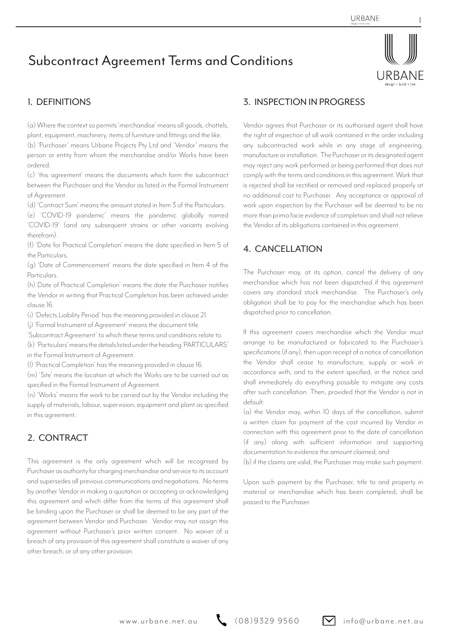# Subcontract Agreement Terms and Conditions



1

### 1. DEFINITIONS

(a) Where the context so permits 'merchandise' means all goods, chattels, plant, equipment, machinery, items of furniture and fittings and the like.

(b) 'Purchaser' means Urbane Projects Pty Ltd and 'Vendor' means the person or entity from whom the merchandise and/or Works have been ordered.

(c) 'this agreement' means the documents which form the subcontract between the Purchaser and the Vendor as listed in the Formal Instrument of Agreement.

(d) 'Contract Sum' means the amount stated in Item 3 of the Particulars.

(e) 'COVID-19 pandemic' means the pandemic globally named 'COVID-19' (and any subsequent strains or other variants evolving therefrom).

(f) 'Date for Practical Completion' means the date specified in Item 5 of the Particulars.

(g) 'Date of Commencement' means the date specified in Item 4 of the Particulars.

(h) Date of Practical Completion' means the date the Purchaser notifies the Vendor in writing that Practical Completion has been achieved under clause 16.

(i) 'Defects Liability Period' has the meaning provided in clause 21.

(j) 'Formal Instrument of Agreement' means the document title

'Subcontract Agreement' to which these terms and conditions relate to.

(k) 'Particulars' means the details listed under the heading 'PARTICULARS' in the Formal Instrument of Agreement.

(l) 'Practical Completion' has the meaning provided in clause 16.

(m) 'Site' means the location at which the Works are to be carried out as specified in the Formal Instrument of Agreement.

(n) 'Works' means the work to be carried out by the Vendor including the supply of materials, labour, supervision, equipment and plant as specified in this agreement.

## 2. CONTRACT

This agreement is the only agreement which will be recognised by Purchaser as authority for charging merchandise and service to its account and supersedes all previous communications and negotiations. No terms by another Vendor in making a quotation or accepting or acknowledging this agreement and which differ from the terms of this agreement shall be binding upon the Purchaser or shall be deemed to be any part of the agreement between Vendor and Purchaser. Vendor may not assign this agreement without Purchaser's prior written consent. No waiver of a breach of any provision of this agreement shall constitute a waiver of any other breach, or of any other provision.

#### 3. INSPECTION IN PROGRESS

Vendor agrees that Purchaser or its authorised agent shall have the right of inspection of all work contained in the order including any subcontracted work while in any stage of engineering, manufacture or installation. The Purchaser or its designated agent may reject any work performed or being performed that does not comply with the terms and conditions in this agreement. Work that is rejected shall be rectified or removed and replaced properly at no additional cost to Purchaser. Any acceptance or approval of work upon inspection by the Purchaser will be deemed to be no more than prima facie evidence of completion and shall not relieve the Vendor of its obligations contained in this agreement.

#### 4. CANCELLATION

The Purchaser may, at its option, cancel the delivery of any merchandise which has not been dispatched if this agreement covers any standard stock merchandise. The Purchaser's only obligation shall be to pay for the merchandise which has been dispatched prior to cancellation.

If this agreement covers merchandise which the Vendor must arrange to be manufactured or fabricated to the Purchaser's specifications (if any), then upon receipt of a notice of cancellation the Vendor shall cease to manufacture, supply or work in accordance with, and to the extent specified, in the notice and shall immediately do everything possible to mitigate any costs after such cancellation. Then, provided that the Vendor is not in default:

(a) the Vendor may, within 10 days of the cancellation, submit a written claim for payment of the cost incurred by Vendor in connection with this agreement prior to the date of cancellation (if any) along with sufficient information and supporting documentation to evidence the amount claimed; and

(b) if the claims are valid, the Purchaser may make such payment.

Upon such payment by the Purchaser, title to and property in material or merchandise which has been completed, shall be passed to the Purchaser.

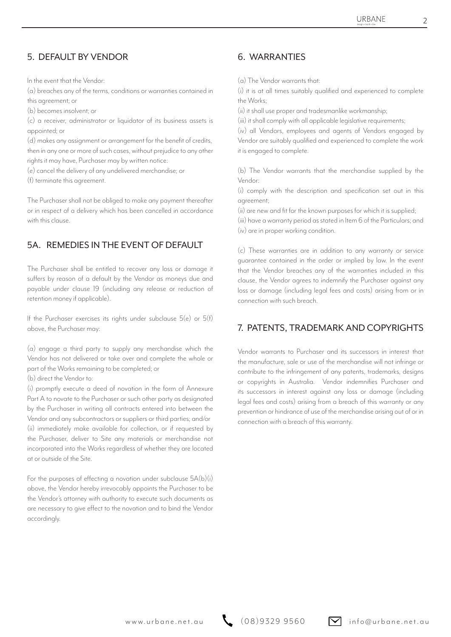## 5. DEFAULT BY VENDOR 6. WARRANTIES

In the event that the Vendor:

(a) breaches any of the terms, conditions or warranties contained in this agreement; or

(b) becomes insolvent; or

(c) a receiver, administrator or liquidator of its business assets is appointed; or

(d) makes any assignment or arrangement for the benefit of credits, then in any one or more of such cases, without prejudice to any other rights it may have, Purchaser may by written notice:

(e) cancel the delivery of any undelivered merchandise; or

(f) terminate this agreement.

The Purchaser shall not be obliged to make any payment thereafter or in respect of a delivery which has been cancelled in accordance with this clause.

## 5A. REMEDIES IN THE EVENT OF DEFAULT

The Purchaser shall be entitled to recover any loss or damage it suffers by reason of a default by the Vendor as moneys due and payable under clause 19 (including any release or reduction of retention money if applicable).

If the Purchaser exercises its rights under subclause 5(e) or 5(f) above, the Purchaser may:

(a) engage a third party to supply any merchandise which the Vendor has not delivered or take over and complete the whole or part of the Works remaining to be completed; or

(b) direct the Vendor to:

(i) promptly execute a deed of novation in the form of Annexure Part A to novate to the Purchaser or such other party as designated by the Purchaser in writing all contracts entered into between the Vendor and any subcontractors or suppliers or third parties; and/or (ii) immediately make available for collection, or if requested by the Purchaser, deliver to Site any materials or merchandise not incorporated into the Works regardless of whether they are located at or outside of the Site.

For the purposes of effecting a novation under subclause 5A(b)(i) above, the Vendor hereby irrevocably appoints the Purchaser to be the Vendor's attorney with authority to execute such documents as are necessary to give effect to the novation and to bind the Vendor accordingly.

(a) The Vendor warrants that:

(i) it is at all times suitably qualified and experienced to complete the Works;

(ii) it shall use proper and tradesmanlike workmanship;

(iii) it shall comply with all applicable legislative requirements;

(iv) all Vendors, employees and agents of Vendors engaged by Vendor are suitably qualified and experienced to complete the work it is engaged to complete.

(b) The Vendor warrants that the merchandise supplied by the Vendor:

(i) comply with the description and specification set out in this agreement;

(ii) are new and fit for the known purposes for which it is supplied;

(iii) have a warranty period as stated in Item 6 of the Particulars; and (iv) are in proper working condition.

(c) These warranties are in addition to any warranty or service guarantee contained in the order or implied by law. In the event that the Vendor breaches any of the warranties included in this clause, the Vendor agrees to indemnify the Purchaser against any loss or damage (including legal fees and costs) arising from or in connection with such breach.

#### 7. PATENTS, TRADEMARK AND COPYRIGHTS

Vendor warrants to Purchaser and its successors in interest that the manufacture, sale or use of the merchandise will not infringe or contribute to the infringement of any patents, trademarks, designs or copyrights in Australia. Vendor indemnifies Purchaser and its successors in interest against any loss or damage (including legal fees and costs) arising from a breach of this warranty or any prevention or hindrance of use of the merchandise arising out of or in connection with a breach of this warranty.

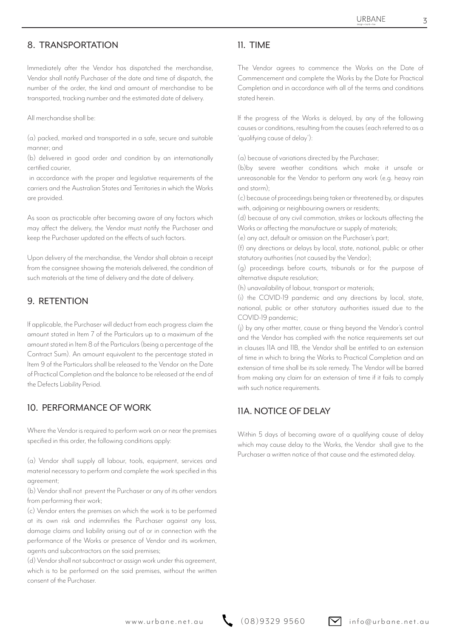#### 8. TRANSPORTATION 11. TIME

Immediately after the Vendor has dispatched the merchandise, Vendor shall notify Purchaser of the date and time of dispatch, the number of the order, the kind and amount of merchandise to be transported, tracking number and the estimated date of delivery.

All merchandise shall be:

(a) packed, marked and transported in a safe, secure and suitable manner; and

(b) delivered in good order and condition by an internationally certified courier,

 in accordance with the proper and legislative requirements of the carriers and the Australian States and Territories in which the Works are provided.

As soon as practicable after becoming aware of any factors which may affect the delivery, the Vendor must notify the Purchaser and keep the Purchaser updated on the effects of such factors.

Upon delivery of the merchandise, the Vendor shall obtain a receipt from the consignee showing the materials delivered, the condition of such materials at the time of delivery and the date of delivery.

#### 9. RETENTION

If applicable, the Purchaser will deduct from each progress claim the amount stated in Item 7 of the Particulars up to a maximum of the amount stated in Item 8 of the Particulars (being a percentage of the Contract Sum). An amount equivalent to the percentage stated in Item 9 of the Particulars shall be released to the Vendor on the Date of Practical Completion and the balance to be released at the end of the Defects Liability Period.

### 10. PERFORMANCE OF WORK 11A NOTICE OF DELAY

Where the Vendor is required to perform work on or near the premises specified in this order, the following conditions apply:

(a) Vendor shall supply all labour, tools, equipment, services and material necessary to perform and complete the work specified in this agreement;

(b) Vendor shall not prevent the Purchaser or any of its other vendors from performing their work;

(c) Vendor enters the premises on which the work is to be performed at its own risk and indemnifies the Purchaser against any loss, damage claims and liability arising out of or in connection with the performance of the Works or presence of Vendor and its workmen, agents and subcontractors on the said premises;

(d) Vendor shall not subcontract or assign work under this agreement, which is to be performed on the said premises, without the written consent of the Purchaser.

The Vendor agrees to commence the Works on the Date of Commencement and complete the Works by the Date for Practical Completion and in accordance with all of the terms and conditions stated herein.

If the progress of the Works is delayed, by any of the following causes or conditions, resulting from the causes (each referred to as a 'qualifying cause of delay'):

(a) because of variations directed by the Purchaser;

(b)by severe weather conditions which make it unsafe or unreasonable for the Vendor to perform any work (e.g. heavy rain and storm);

(c) because of proceedings being taken or threatened by, or disputes with, adjoining or neighbouring owners or residents;

(d) because of any civil commotion, strikes or lockouts affecting the Works or affecting the manufacture or supply of materials;

(e) any act, default or omission on the Purchaser's part;

(f) any directions or delays by local, state, national, public or other statutory authorities (not caused by the Vendor);

(g) proceedings before courts, tribunals or for the purpose of alternative dispute resolution;

(h) unavailability of labour, transport or materials;

(i) the COVID-19 pandemic and any directions by local, state, national, public or other statutory authorities issued due to the COVID-19 pandemic;

(j) by any other matter, cause or thing beyond the Vendor's control and the Vendor has complied with the notice requirements set out in clauses 11A and 11B, the Vendor shall be entitled to an extension of time in which to bring the Works to Practical Completion and an extension of time shall be its sole remedy. The Vendor will be barred from making any claim for an extension of time if it fails to comply with such notice requirements.

Within 5 days of becoming aware of a qualifying cause of delay which may cause delay to the Works, the Vendor shall give to the Purchaser a written notice of that cause and the estimated delay.

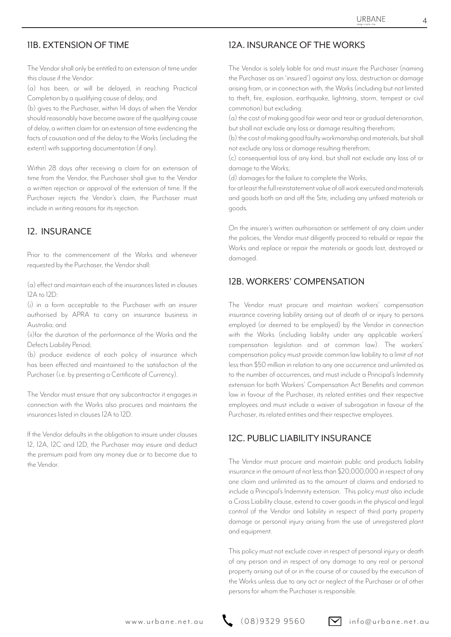The Vendor shall only be entitled to an extension of time under this clause if the Vendor:

(a) has been, or will be delayed, in reaching Practical Completion by a qualifying cause of delay; and

(b) gives to the Purchaser, within 14 days of when the Vendor should reasonably have become aware of the qualifying cause of delay, a written claim for an extension of time evidencing the facts of causation and of the delay to the Works (including the extent) with supporting documentation (if any).

Within 28 days after receiving a claim for an extension of time from the Vendor, the Purchaser shall give to the Vendor a written rejection or approval of the extension of time. If the Purchaser rejects the Vendor's claim, the Purchaser must include in writing reasons for its rejection.

#### 12. INSURANCE

Prior to the commencement of the Works and whenever requested by the Purchaser, the Vendor shall:

(a) effect and maintain each of the insurances listed in clauses 12A to 12D:

(i) in a form acceptable to the Purchaser with an insurer authorised by APRA to carry on insurance business in Australia; and

(ii)for the duration of the performance of the Works and the Defects Liability Period;

(b) produce evidence of each policy of insurance which has been effected and maintained to the satisfaction of the Purchaser (i.e. by presenting a Certificate of Currency).

The Vendor must ensure that any subcontractor it engages in connection with the Works also procures and maintains the insurances listed in clauses 12A to 12D.

If the Vendor defaults in the obligation to insure under clauses 12, 12A, 12C and 12D, the Purchaser may insure and deduct the premium paid from any money due or to become due to the Vendor.

#### 11B. EXTENSION OF TIME 12A. INSURANCE OF THE WORKS

The Vendor is solely liable for and must insure the Purchaser (naming the Purchaser as an 'insured') against any loss, destruction or damage arising from, or in connection with, the Works (including but not limited to theft, fire, explosion, earthquake, lightning, storm, tempest or civil commotion) but excluding:

(a) the cost of making good fair wear and tear or gradual deterioration, but shall not exclude any loss or damage resulting therefrom;

(b) the cost of making good faulty workmanship and materials, but shall not exclude any loss or damage resulting therefrom;

(c) consequential loss of any kind, but shall not exclude any loss of or damage to the Works;

(d) damages for the failure to complete the Works,

for at least the full reinstatement value of all work executed and materials and goods both on and off the Site, including any unfixed materials or goods.

On the insurer's written authorisation or settlement of any claim under the policies, the Vendor must diligently proceed to rebuild or repair the Works and replace or repair the materials or goods lost, destroyed or damaged.

#### 12B. WORKERS' COMPENSATION

The Vendor must procure and maintain workers' compensation insurance covering liability arising out of death of or injury to persons employed (or deemed to be employed) by the Vendor in connection with the Works (including liability under any applicable workers' compensation legislation and at common law). The workers' compensation policy must provide common law liability to a limit of not less than \$50 million in relation to any one occurrence and unlimited as to the number of occurrences, and must include a Principal's Indemnity extension for both Workers' Compensation Act Benefits and common law in favour of the Purchaser, its related entities and their respective employees and must include a waiver of subrogation in favour of the Purchaser, its related entities and their respective employees.

#### 12C. PUBLIC LIABILITY INSURANCE

The Vendor must procure and maintain public and products liability insurance in the amount of not less than \$20,000,000 in respect of any one claim and unlimited as to the amount of claims and endorsed to include a Principal's Indemnity extension. This policy must also include a Cross Liability clause, extend to cover goods in the physical and legal control of the Vendor and liability in respect of third party property damage or personal injury arising from the use of unregistered plant and equipment.

This policy must not exclude cover in respect of personal injury or death of any person and in respect of any damage to any real or personal property arising out of or in the course of or caused by the execution of the Works unless due to any act or neglect of the Purchaser or of other persons for whom the Purchaser is responsible.

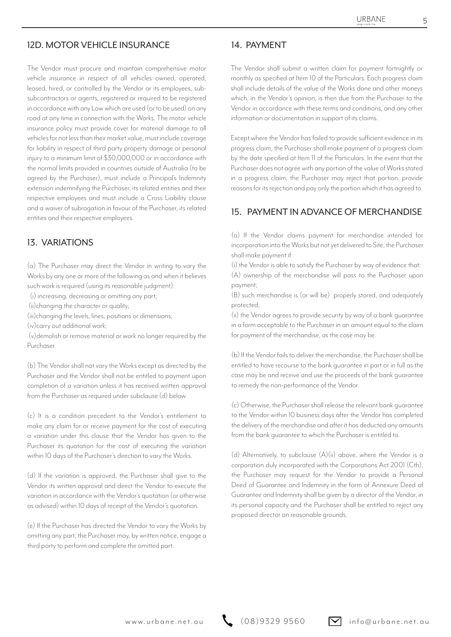#### 12D. MOTOR VEHICLE INSURANCE 14. PAYMENT

The Vendor must procure and maintain comprehensive motor vehicle insurance in respect of all vehicles owned, operated, leased, hired, or controlled by the Vendor or its employees, subsubcontractors or agents, registered or required to be registered in accordance with any Law which are used (or to be used) on any road at any time in connection with the Works. The motor vehicle insurance policy must provide cover for material damage to all vehicles for not less than their market value, must include coverage for liability in respect of third party property damage or personal injury to a minimum limit of \$30,000,000 or in accordance with the normal limits provided in countries outside of Australia (to be agreed by the Purchaser), must include a Principal's Indemnity extension indemnifying the Purchaser, its related entities and their respective employees and must include a Cross Liability clause and a waiver of subrogation in favour of the Purchaser, its related entities and their respective employees.

#### 13. VARIATIONS

(a) The Purchaser may direct the Vendor in writing to vary the Works by any one or more of the following as and when it believes such work is required (using its reasonable judgment):

(i) increasing, decreasing or omitting any part;

(ii)changing the character or quality;

(iii)changing the levels, lines, positions or dimensions;

(iv)carry out additional work;

 (v)demolish or remove material or work no longer required by the Purchaser.

(b) The Vendor shall not vary the Works except as directed by the Purchaser and the Vendor shall not be entitled to payment upon completion of a variation unless it has received written approval from the Purchaser as required under subclause (d) below.

(c) It is a condition precedent to the Vendor's entitlement to make any claim for or receive payment for the cost of executing a variation under this clause that the Vendor has given to the Purchaser its quotation for the cost of executing the variation within 10 days of the Purchaser's direction to vary the Works.

(d) If the variation is approved, the Purchaser shall give to the Vendor its written approval and direct the Vendor to execute the variation in accordance with the Vendor's quotation (or otherwise as advised) within 10 days of receipt of the Vendor's quotation.

(e) If the Purchaser has directed the Vendor to vary the Works by omitting any part, the Purchaser may, by written notice, engage a third party to perform and complete the omitted part.

The Vendor shall submit a written claim for payment fortnightly or monthly as specified at Item 10 of the Particulars. Each progress claim shall include details of the value of the Works done and other moneys which, in the Vendor's opinion, is then due from the Purchaser to the Vendor in accordance with these terms and conditions, and any other information or documentation in support of its claims.

Except where the Vendor has failed to provide sufficient evidence in its progress claim, the Purchaser shall make payment of a progress claim by the date specified at Item 11 of the Particulars. In the event that the Purchaser does not agree with any portion of the value of Works stated in a progress claim, the Purchaser may reject that portion, provide reasons for its rejection and pay only the portion which it has agreed to.

### 15. PAYMENT IN ADVANCE OF MERCHANDISE

(a) If the Vendor claims payment for merchandise intended for incorporation into the Works but not yet delivered to Site, the Purchaser shall make payment if:

(i) the Vendor is able to satisfy the Purchaser by way of evidence that: (A) ownership of the merchandise will pass to the Purchaser upon payment;

(B) such merchandise is (or will be) properly stored, and adequately protected;

(ii) the Vendor agrees to provide security by way of a bank guarantee in a form acceptable to the Purchaser in an amount equal to the claim for payment of the merchandise, as the case may be.

(b) If the Vendor fails to deliver the merchandise, the Purchaser shall be entitled to have recourse to the bank guarantee in part or in full as the case may be and receive and use the proceeds of the bank guarantee to remedy the non-performance of the Vendor.

(c) Otherwise, the Purchaser shall release the relevant bank guarantee to the Vendor within 10 business days after the Vendor has completed the delivery of the merchandise and after it has deducted any amounts from the bank guarantee to which the Purchaser is entitled to.

(d) Alternatively, to subclause (A)(ii) above, where the Vendor is a corporation duly incorporated with the Corporations Act 2001 (Cth), the Purchaser may request for the Vendor to provide a Personal Deed of Guarantee and Indemnity in the form of Annexure Deed of Guarantee and Indemnity shall be given by a director of the Vendor, in its personal capacity and the Purchaser shall be entitled to reject any proposed director on reasonable grounds.

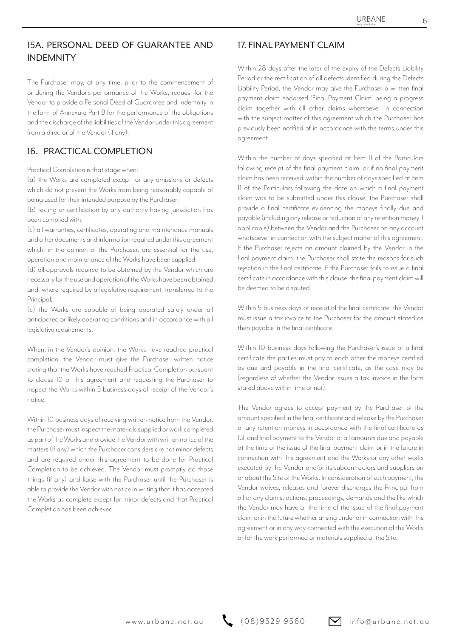## 15A. PERSONAL DEED OF GUARANTEE AND 17. FINAL PAYMENT CLAIM INDEMNITY

The Purchaser may, at any time, prior to the commencement of or during the Vendor's performance of the Works, request for the Vendor to provide a Personal Deed of Guarantee and Indemnity in the form of Annexure Part B for the performance of the obligations and the discharge of the liabilities of the Vendor under this agreement from a director of the Vendor (if any).

#### 16. PRACTICAL COMPLETION

Practical Completion is that stage when:

(a) the Works are completed except for any omissions or defects which do not prevent the Works from being reasonably capable of being used for their intended purpose by the Purchaser;

(b) testing or certification by any authority having jurisdiction has been complied with;

(c) all warranties, certificates, operating and maintenance manuals and other documents and information required under this agreement which, in the opinion of the Purchaser, are essential for the use, operation and maintenance of the Works have been supplied;

(d) all approvals required to be obtained by the Vendor which are necessary for the use and operation of the Works have been obtained and, where required by a legislative requirement, transferred to the Principal:

(e) the Works are capable of being operated safely under all anticipated or likely operating conditions and in accordance with all legislative requirements.

When, in the Vendor's opinion, the Works have reached practical completion, the Vendor must give the Purchaser written notice stating that the Works have reached Practical Completion pursuant to clause 10 of this agreement and requesting the Purchaser to inspect the Works within 5 business days of receipt of the Vendor's notice.

Within 10 business days of receiving written notice from the Vendor, the Purchaser must inspect the materials supplied or work completed as part of the Works and provide the Vendor with written notice of the matters (if any) which the Purchaser considers are not minor defects and are required under this agreement to be done for Practical Completion to be achieved. The Vendor must promptly do those things (if any) and liaise with the Purchaser until the Purchaser is able to provide the Vendor with notice in writing that it has accepted the Works as complete except for minor defects and that Practical Completion has been achieved.

Within 28 days after the later of the expiry of the Defects Liability Period or the rectification of all defects identified during the Defects Liability Period, the Vendor may give the Purchaser a written final payment claim endorsed 'Final Payment Claim' being a progress claim together with all other claims whatsoever in connection with the subject matter of this agreement which the Purchaser has previously been notified of in accordance with the terms under this agreement.

Within the number of days specified at Item 11 of the Particulars following receipt of the final payment claim, or if no final payment claim has been received, within the number of days specified at Item 11 of the Particulars following the date on which a final payment claim was to be submitted under this clause, the Purchaser shall provide a final certificate evidencing the moneys finally due and payable (including any release or reduction of any retention money if applicable) between the Vendor and the Purchaser on any account whatsoever in connection with the subject matter of this agreement. If the Purchaser rejects an amount claimed by the Vendor in the final payment claim, the Purchaser shall state the reasons for such rejection in the final certificate. If the Purchaser fails to issue a final certificate in accordance with this clause, the final payment claim will be deemed to be disputed.

Within 5 business days of receipt of the final certificate, the Vendor must issue a tax invoice to the Purchaser for the amount stated as then payable in the final certificate.

Within 10 business days following the Purchaser's issue of a final certificate the parties must pay to each other the moneys certified as due and payable in the final certificate, as the case may be (regardless of whether the Vendor issues a tax invoice in the form stated above within time or not).

The Vendor agrees to accept payment by the Purchaser of the amount specified in the final certificate and release by the Purchaser of any retention moneys in accordance with the final certificate as full and final payment to the Vendor of all amounts due and payable at the time of the issue of the final payment claim or in the future in connection with this agreement and the Works or any other works executed by the Vendor and/or its subcontractors and suppliers on or about the Site of the Works. In consideration of such payment, the Vendor waives, releases and forever discharges the Principal from all or any claims, actions, proceedings, demands and the like which the Vendor may have at the time of the issue of the final payment claim or in the future whether arising under or in connection with this agreement or in any way connected with the execution of the Works or for the work performed or materials supplied at the Site.

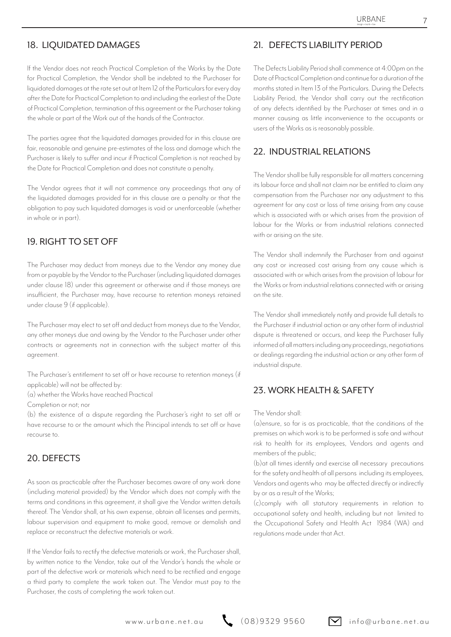If the Vendor does not reach Practical Completion of the Works by the Date for Practical Completion, the Vendor shall be indebted to the Purchaser for liquidated damages at the rate set out at Item 12 of the Particulars for every day after the Date for Practical Completion to and including the earliest of the Date of Practical Completion, termination of this agreement or the Purchaser taking the whole or part of the Work out of the hands of the Contractor.

The parties agree that the liquidated damages provided for in this clause are fair, reasonable and genuine pre-estimates of the loss and damage which the Purchaser is likely to suffer and incur if Practical Completion is not reached by the Date for Practical Completion and does not constitute a penalty.

The Vendor agrees that it will not commence any proceedings that any of the liquidated damages provided for in this clause are a penalty or that the obligation to pay such liquidated damages is void or unenforceable (whether in whole or in part).

## 19. RIGHT TO SET OFF

The Purchaser may deduct from moneys due to the Vendor any money due from or payable by the Vendor to the Purchaser (including liquidated damages under clause 18) under this agreement or otherwise and if those moneys are insufficient, the Purchaser may, have recourse to retention moneys retained under clause 9 (if applicable).

The Purchaser may elect to set off and deduct from moneys due to the Vendor, any other moneys due and owing by the Vendor to the Purchaser under other contracts or agreements not in connection with the subject matter of this agreement.

The Purchaser's entitlement to set off or have recourse to retention moneys (if applicable) will not be affected by:

(a) whether the Works have reached Practical

Completion or not; nor

(b) the existence of a dispute regarding the Purchaser's right to set off or have recourse to or the amount which the Principal intends to set off or have recourse to.

#### 20. DEFECTS

As soon as practicable after the Purchaser becomes aware of any work done (including material provided) by the Vendor which does not comply with the terms and conditions in this agreement, it shall give the Vendor written details thereof. The Vendor shall, at his own expense, obtain all licenses and permits, labour supervision and equipment to make good, remove or demolish and replace or reconstruct the defective materials or work.

If the Vendor fails to rectify the defective materials or work, the Purchaser shall, by written notice to the Vendor, take out of the Vendor's hands the whole or part of the defective work or materials which need to be rectified and engage a third party to complete the work taken out. The Vendor must pay to the Purchaser, the costs of completing the work taken out.

#### 18. LIQUIDATED DAMAGES 21. DEFECTS LIABILITY PERIOD

The Defects Liability Period shall commence at 4:00pm on the Date of Practical Completion and continue for a duration of the months stated in Item 13 of the Particulars. During the Defects Liability Period, the Vendor shall carry out the rectification of any defects identified by the Purchaser at times and in a manner causing as little inconvenience to the occupants or users of the Works as is reasonably possible.

### 22. INDUSTRIAL RELATIONS

The Vendor shall be fully responsible for all matters concerning its labour force and shall not claim nor be entitled to claim any compensation from the Purchaser nor any adjustment to this agreement for any cost or loss of time arising from any cause which is associated with or which arises from the provision of labour for the Works or from industrial relations connected with or arising on the site.

The Vendor shall indemnify the Purchaser from and against any cost or increased cost arising from any cause which is associated with or which arises from the provision of labour for the Works or from industrial relations connected with or arising on the site.

The Vendor shall immediately notify and provide full details to the Purchaser if industrial action or any other form of industrial dispute is threatened or occurs, and keep the Purchaser fully informed of all matters including any proceedings, negotiations or dealings regarding the industrial action or any other form of industrial dispute.

#### 23. WORK HEALTH & SAFFTY

#### The Vendor shall:

(a)ensure, so far is as practicable, that the conditions of the premises on which work is to be performed is safe and without risk to health for its employees, Vendors and agents and members of the public;

(b)at all times identify and exercise all necessary precautions for the safety and health of all persons including its employees, Vendors and agents who may be affected directly or indirectly by or as a result of the Works;

(c)comply with all statutory requirements in relation to occupational safety and health, including but not limited to the Occupational Safety and Health Act 1984 (WA) and regulations made under that Act.

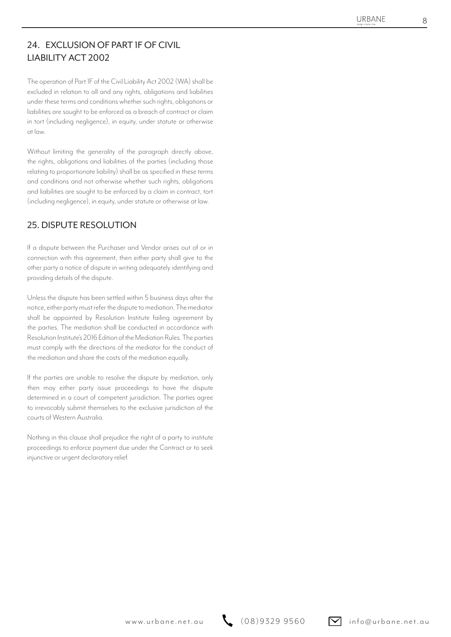## 24. EXCLUSION OF PART 1F OF CIVIL LIABILITY ACT 2002

The operation of Part 1F of the Civil Liability Act 2002 (WA) shall be excluded in relation to all and any rights, obligations and liabilities under these terms and conditions whether such rights, obligations or liabilities are sought to be enforced as a breach of contract or claim in tort (including negligence), in equity, under statute or otherwise at law.

Without limiting the generality of the paragraph directly above, the rights, obligations and liabilities of the parties (including those relating to proportionate liability) shall be as specified in these terms and conditions and not otherwise whether such rights, obligations and liabilities are sought to be enforced by a claim in contract, tort (including negligence), in equity, under statute or otherwise at law.

### 25. DISPUTE RESOLUTION

If a dispute between the Purchaser and Vendor arises out of or in connection with this agreement, then either party shall give to the other party a notice of dispute in writing adequately identifying and providing details of the dispute.

**EXECUTE COVIL**<br>
LABLIS A 2002 (600 distribution of distribution and distribution and distribution and distribution and distribution and distribution and distribution and distribution and distribution and distribution and Unless the dispute has been settled within 5 business days after the notice, either party must refer the dispute to mediation. The mediator shall be appointed by Resolution Institute failing agreement by the parties. The mediation shall be conducted in accordance with Resolution Institute's 2016 Edition of the Mediation Rules. The parties must comply with the directions of the mediator for the conduct of the mediation and share the costs of the mediation equally.

If the parties are unable to resolve the dispute by mediation, only then may either party issue proceedings to have the dispute determined in a court of competent jurisdiction. The parties agree to irrevocably submit themselves to the exclusive jurisdiction of the courts of Western Australia.

Nothing in this clause shall prejudice the right of a party to institute proceedings to enforce payment due under the Contract or to seek injunctive or urgent declaratory relief.

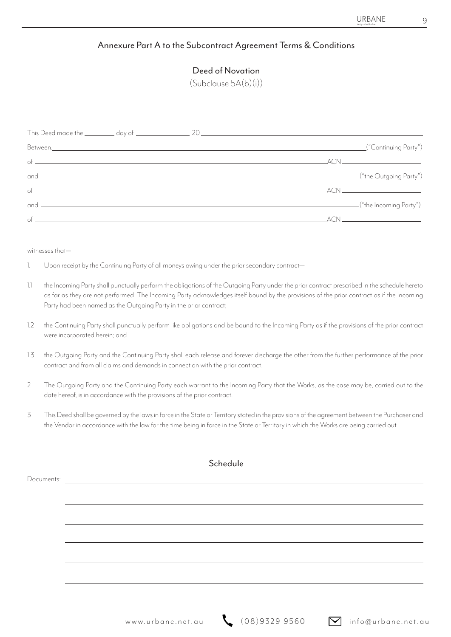#### Annexure Part A to the Subcontract Agreement Terms & Conditions

#### Deed of Novation

(Subclause 5A(b)(i))

|                                      | Between. <u> And the second contract of the second contract of the second contract of the second contract of the second</u>                                                                                                                                                                                                                                                                                                                                              | ("Continuing Party") |
|--------------------------------------|--------------------------------------------------------------------------------------------------------------------------------------------------------------------------------------------------------------------------------------------------------------------------------------------------------------------------------------------------------------------------------------------------------------------------------------------------------------------------|----------------------|
|                                      | of $\overline{\phantom{a}}$ $\overline{\phantom{a}}$ $\overline{\phantom{a}}$ $\overline{\phantom{a}}$ $\overline{\phantom{a}}$ $\overline{\phantom{a}}$ $\overline{\phantom{a}}$ $\overline{\phantom{a}}$ $\overline{\phantom{a}}$ $\overline{\phantom{a}}$ $\overline{\phantom{a}}$ $\overline{\phantom{a}}$ $\overline{\phantom{a}}$ $\overline{\phantom{a}}$ $\overline{\phantom{a}}$ $\overline{\phantom{a}}$ $\overline{\phantom{a}}$ $\overline{\phantom{a}}$ $\$ |                      |
|                                      |                                                                                                                                                                                                                                                                                                                                                                                                                                                                          |                      |
| $\sigma$ of $\overline{\phantom{a}}$ |                                                                                                                                                                                                                                                                                                                                                                                                                                                                          |                      |
|                                      | and <u>Communications (</u> "the Incoming Party")                                                                                                                                                                                                                                                                                                                                                                                                                        |                      |
|                                      |                                                                                                                                                                                                                                                                                                                                                                                                                                                                          |                      |

witnesses that—

- Upon receipt by the Continuing Party of all moneys owing under the prior secondary contract— 1.
- the Incoming Party shall punctually perform the obligations of the Outgoing Party under the prior contract prescribed in the schedule hereto as far as they are not performed. The Incoming Party acknowledges itself bound by the provisions of the prior contract as if the Incoming Party had been named as the Outgoing Party in the prior contract; 1.1
- the Continuing Party shall punctually perform like obligations and be bound to the Incoming Party as if the provisions of the prior contract were incorporated herein; and 1.2
- the Outgoing Party and the Continuing Party shall each release and forever discharge the other from the further performance of the prior contract and from all claims and demands in connection with the prior contract. 1.3
- The Outgoing Party and the Continuing Party each warrant to the Incoming Party that the Works, as the case may be, carried out to the date hereof, is in accordance with the provisions of the prior contract.  $\overline{\phantom{a}}$
- This Deed shall be governed by the laws in force in the State or Territory stated in the provisions of the agreement between the Purchaser and the Vendor in accordance with the law for the time being in force in the State or Territory in which the Works are being carried out. 3

|            | Schedule |  |  |  |  |
|------------|----------|--|--|--|--|
| Documents: |          |  |  |  |  |
|            |          |  |  |  |  |
|            |          |  |  |  |  |
|            |          |  |  |  |  |
|            |          |  |  |  |  |
|            |          |  |  |  |  |
|            |          |  |  |  |  |
|            |          |  |  |  |  |
|            |          |  |  |  |  |
|            |          |  |  |  |  |

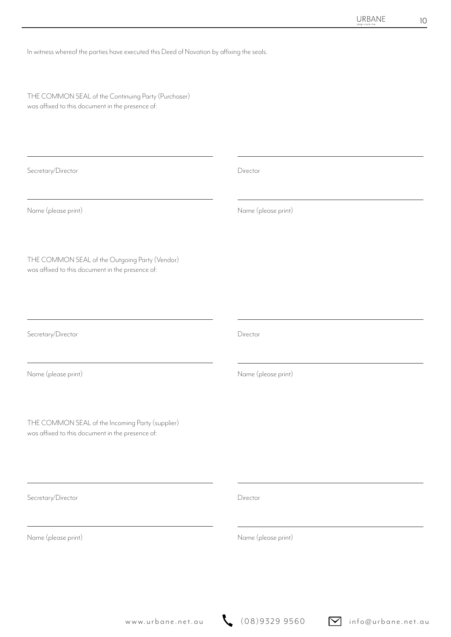In witness whereof the parties have executed this Deed of Novation by affixing the seals.

THE COMMON SEAL of the Continuing Party (Purchaser) was affixed to this document in the presence of:

| Secretary/Director                                                                                   | Director            |
|------------------------------------------------------------------------------------------------------|---------------------|
| Name (please print)                                                                                  | Name (please print) |
| THE COMMON SEAL of the Outgoing Party (Vendor)<br>was affixed to this document in the presence of:   |                     |
| Secretary/Director                                                                                   | Director            |
| Name (please print)                                                                                  | Name (please print) |
| THE COMMON SEAL of the Incoming Party (supplier)<br>was affixed to this document in the presence of: |                     |
| Secretary/Director                                                                                   | Director            |
| Name (please print)                                                                                  | Name (please print) |
|                                                                                                      |                     |

www.urbane.net.au  $\left(08\right)9329\,9560$  info@urbane.net.au

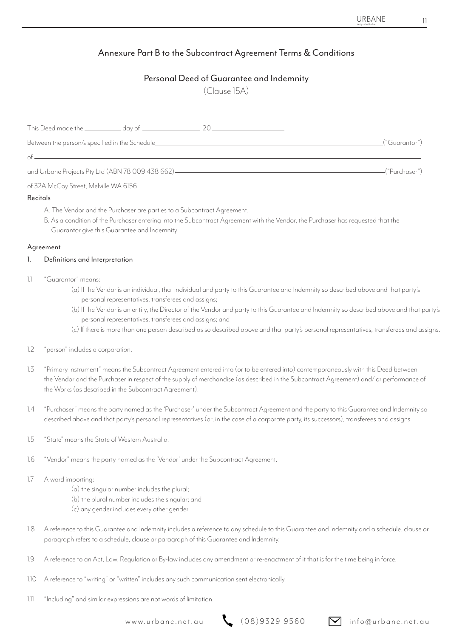## Annexure Part B to the Subcontract Agreement Terms & Conditions

### Personal Deed of Guarantee and Indemnity

(Clause 15A)

| Between the person/s specified in the Schedule__________________________________ | ("Guarantor")    |
|----------------------------------------------------------------------------------|------------------|
| $of$ $-$                                                                         |                  |
| and Urbane Projects Pty Ltd (ABN 78 009 438 662)                                 | -("Purchaser") - |

of 32A McCoy Street, Melville WA 6156.

#### **Recitals**

- A. The Vendor and the Purchaser are parties to a Subcontract Agreement.
	- B. As a condition of the Purchaser entering into the Subcontract Agreement with the Vendor, the Purchaser has requested that the Guarantor give this Guarantee and Indemnity.

#### Agreement

#### Definitions and Interpretation 1.

- "Guarantor" means: 1.1
	- (a) If the Vendor is an individual, that individual and party to this Guarantee and Indemnity so described above and that party's personal representatives, transferees and assigns;
	- (b) If the Vendor is an entity, the Director of the Vendor and party to this Guarantee and Indemnity so described above and that party's personal representatives, transferees and assigns; and
	- (c) If there is more than one person described as so described above and that party's personal representatives, transferees and assigns.
- "person" includes a corporation. 1.2
- "Primary Instrument" means the Subcontract Agreement entered into (or to be entered into) contemporaneously with this Deed between the Vendor and the Purchaser in respect of the supply of merchandise (as described in the Subcontract Agreement) and/ or performance of the Works (as described in the Subcontract Agreement). 1.3
- "Purchaser" means the party named as the 'Purchaser' under the Subcontract Agreement and the party to this Guarantee and Indemnity so described above and that party's personal representatives (or, in the case of a corporate party, its successors), transferees and assigns. 1.4
- "State" means the State of Western Australia. 1.5
- "Vendor" means the party named as the 'Vendor' under the Subcontract Agreement. 1.6
- A word importing: 1.7
	- (a) the singular number includes the plural;
	- (b) the plural number includes the singular; and
	- (c) any gender includes every other gender.
- A reference to this Guarantee and Indemnity includes a reference to any schedule to this Guarantee and Indemnity and a schedule, clause or paragraph refers to a schedule, clause or paragraph of this Guarantee and Indemnity. 1.8
- A reference to an Act, Law, Regulation or By-law includes any amendment or re-enactment of it that is for the time being in force. 1.9
- A reference to "writing" or "written" includes any such communication sent electronically.  $110$
- "Including" and similar expressions are not words of limitation. 1.11

www.urbane.net.au  $\left(08\right)9329\,9560$  info@urbane.net.au

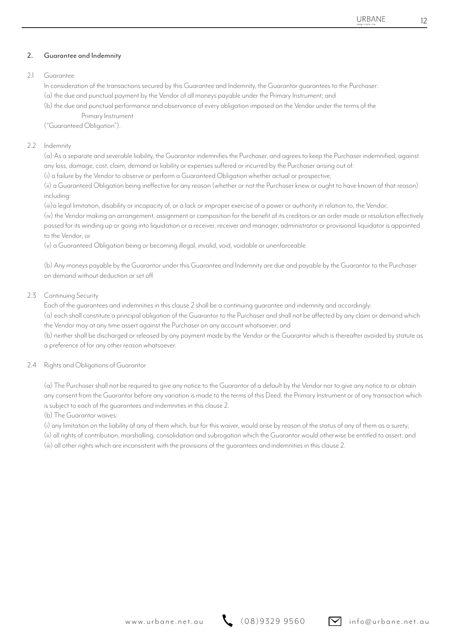#### Guarantee and Indemnity 2.

#### Guarantee  $21$

In consideration of the transactions secured by this Guarantee and Indemnity, the Guarantor guarantees to the Purchaser: (a) the due and punctual payment by the Vendor of all moneys payable under the Primary Instrument; and

(b) the due and punctual performance and observance of every obligation imposed on the Vendor under the terms of the

Primary Instrument

("Guaranteed Obligation").

#### 2.2 Indemnity

(a) As a separate and severable liability, the Guarantor indemnifies the Purchaser, and agrees to keep the Purchaser indemnified, against any loss, damage, cost, claim, demand or liability or expenses suffered or incurred by the Purchaser arising out of:

(i) a failure by the Vendor to observe or perform a Guaranteed Obligation whether actual or prospective;

(ii) a Guaranteed Obligation being ineffective for any reason (whether or not the Purchaser knew or ought to have known of that reason) including:

(iii)a legal limitation, disability or incapacity of, or a lack or improper exercise of a power or authority in relation to, the Vendor;

(iv) the Vendor making an arrangement, assignment or composition for the benefit of its creditors or an order made or resolution effectively passed for its winding up or going into liquidation or a receiver, receiver and manager, administrator or provisional liquidator is appointed to the Vendor; or

(v) a Guaranteed Obligation being or becoming illegal, invalid, void, voidable or unenforceable.

(b) Any moneys payable by the Guarantor under this Guarantee and Indemnity are due and payable by the Guarantor to the Purchaser on demand without deduction or set off.

#### 2.3 Continuing Security

Each of the guarantees and indemnities in this clause 2 shall be a continuing guarantee and indemnity and accordingly:

(a) each shall constitute a principal obligation of the Guarantor to the Purchaser and shall not be affected by any claim or demand which the Vendor may at any time assert against the Purchaser on any account whatsoever; and

(b) neither shall be discharged or released by any payment made by the Vendor or the Guarantor which is thereafter avoided by statute as a preference of for any other reason whatsoever.

#### 2.4 Rights and Obligations of Guarantor

(a) The Purchaser shall not be required to give any notice to the Guarantor of a default by the Vendor nor to give any notice to or obtain any consent from the Guarantor before any variation is made to the terms of this Deed, the Primary Instrument or of any transaction which is subject to each of the guarantees and indemnities in this clause 2.

(b) The Guarantor waives:

(i) any limitation on the liability of any of them which, but for this waiver, would arise by reason of the status of any of them as a surety;

(ii) all rights of contribution, marshalling, consolidation and subrogation which the Guarantor would otherwise be entitled to assert; and (iii) all other rights which are inconsistent with the provisions of the guarantees and indemnities in this clause 2.